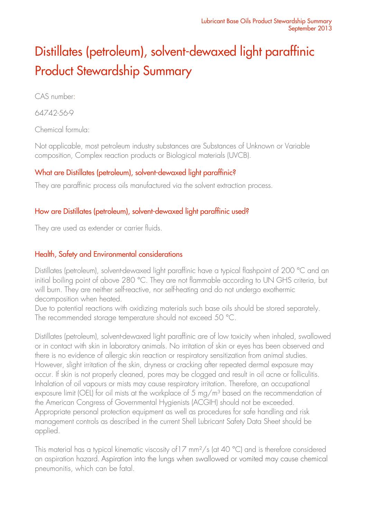# Distillates (petroleum), solvent-dewaxed light paraffinic Product Stewardship Summary

CAS number:

64742-56-9

Chemical formula:

Not applicable, most petroleum industry substances are Substances of Unknown or Variable composition, Complex reaction products or Biological materials (UVCB).

### What are Distillates (petroleum), solvent-dewaxed light paraffinic?

They are paraffinic process oils manufactured via the solvent extraction process.

# How are Distillates (petroleum), solvent-dewaxed light paraffinic used?

They are used as extender or carrier fluids.

# Health, Safety and Environmental considerations

Distillates (petroleum), solvent-dewaxed light paraffinic have a typical flashpoint of 200 °C and an initial boiling point of above 280 °C. They are not flammable according to UN GHS criteria, but will burn. They are neither self-reactive, nor self-heating and do not undergo exothermic decomposition when heated.

Due to potential reactions with oxidizing materials such base oils should be stored separately. The recommended storage temperature should not exceed 50 °C.

Distillates (petroleum), solvent-dewaxed light paraffinic are of low toxicity when inhaled, swallowed or in contact with skin in laboratory animals. No irritation of skin or eyes has been observed and there is no evidence of allergic skin reaction or respiratory sensitization from animal studies. However, slight irritation of the skin, dryness or cracking after repeated dermal exposure may occur. If skin is not properly cleaned, pores may be clogged and result in oil acne or folliculitis. Inhalation of oil vapours or mists may cause respiratory irritation. Therefore, an occupational exposure limit (OEL) for oil mists at the workplace of 5 mg/m<sup>3</sup> based on the recommendation of the American Congress of Governmental Hygienists (ACGIH) should not be exceeded. Appropriate personal protection equipment as well as procedures for safe handling and risk management controls as described in the current Shell Lubricant Safety Data Sheet should be applied.

This material has a typical kinematic viscosity of 17 mm<sup>2</sup>/s (at 40 °C) and is therefore considered an aspiration hazard. Aspiration into the lungs when swallowed or vomited may cause chemical pneumonitis, which can be fatal.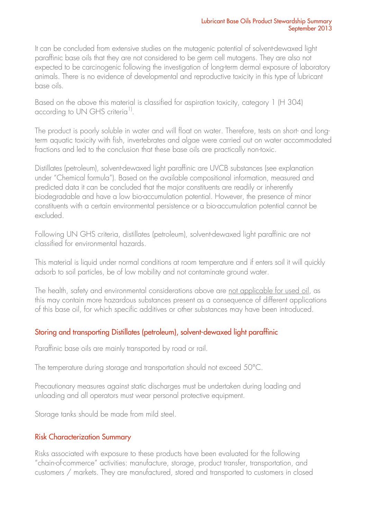It can be concluded from extensive studies on the mutagenic potential of solvent-dewaxed light paraffinic base oils that they are not considered to be germ cell mutagens. They are also not expected to be carcinogenic following the investigation of long-term dermal exposure of laboratory animals. There is no evidence of developmental and reproductive toxicity in this type of lubricant base oils.

Based on the above this material is classified for aspiration toxicity, category 1 (H 304) according to UN GHS criteria<sup>1)</sup>.

The product is poorly soluble in water and will float on water. Therefore, tests on short- and longterm aquatic toxicity with fish, invertebrates and algae were carried out on water accommodated fractions and led to the conclusion that these base oils are practically non-toxic.

Distillates (petroleum), solvent-dewaxed light paraffinic are UVCB substances (see explanation under "Chemical formula"). Based on the available compositional information, measured and predicted data it can be concluded that the major constituents are readily or inherently biodegradable and have a low bio-accumulation potential. However, the presence of minor constituents with a certain environmental persistence or a bio-accumulation potential cannot be excluded.

Following UN GHS criteria, distillates (petroleum), solvent-dewaxed light paraffinic are not classified for environmental hazards.

This material is liquid under normal conditions at room temperature and if enters soil it will quickly adsorb to soil particles, be of low mobility and not contaminate ground water.

The health, safety and environmental considerations above are not applicable for used oil, as this may contain more hazardous substances present as a consequence of different applications of this base oil, for which specific additives or other substances may have been introduced.

# Storing and transporting Distillates (petroleum), solvent-dewaxed light paraffinic

Paraffinic base oils are mainly transported by road or rail.

The temperature during storage and transportation should not exceed 50°C.

Precautionary measures against static discharges must be undertaken during loading and unloading and all operators must wear personal protective equipment.

Storage tanks should be made from mild steel.

#### Risk Characterization Summary

Risks associated with exposure to these products have been evaluated for the following "chain-of-commerce" activities: manufacture, storage, product transfer, transportation, and customers / markets. They are manufactured, stored and transported to customers in closed